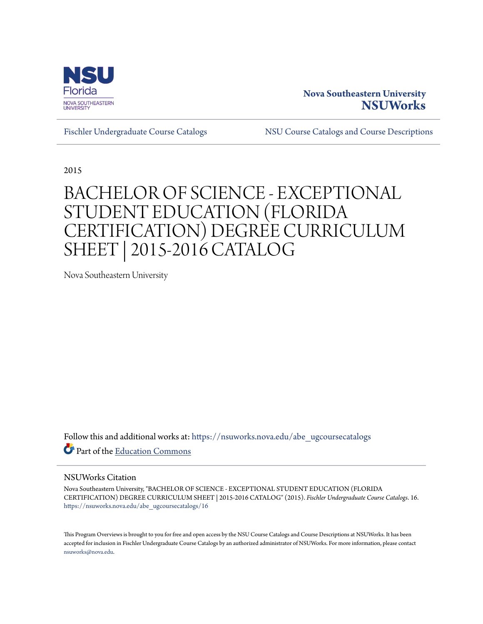

# **Nova Southeastern University [NSUWorks](https://nsuworks.nova.edu?utm_source=nsuworks.nova.edu%2Fabe_ugcoursecatalogs%2F16&utm_medium=PDF&utm_campaign=PDFCoverPages)**

[Fischler Undergraduate Course Catalogs](https://nsuworks.nova.edu/abe_ugcoursecatalogs?utm_source=nsuworks.nova.edu%2Fabe_ugcoursecatalogs%2F16&utm_medium=PDF&utm_campaign=PDFCoverPages) [NSU Course Catalogs and Course Descriptions](https://nsuworks.nova.edu/nsu_catalogs?utm_source=nsuworks.nova.edu%2Fabe_ugcoursecatalogs%2F16&utm_medium=PDF&utm_campaign=PDFCoverPages)

2015

# BACHELOR OF SCIENCE - EXCEPTIONAL STUDENT EDUCATION (FLORIDA CERTIFICATION) DEGREE CURRICULUM SHEET | 2015-2016 CATALOG

Nova Southeastern University

Follow this and additional works at: [https://nsuworks.nova.edu/abe\\_ugcoursecatalogs](https://nsuworks.nova.edu/abe_ugcoursecatalogs?utm_source=nsuworks.nova.edu%2Fabe_ugcoursecatalogs%2F16&utm_medium=PDF&utm_campaign=PDFCoverPages) Part of the [Education Commons](http://network.bepress.com/hgg/discipline/784?utm_source=nsuworks.nova.edu%2Fabe_ugcoursecatalogs%2F16&utm_medium=PDF&utm_campaign=PDFCoverPages)

#### NSUWorks Citation

Nova Southeastern University, "BACHELOR OF SCIENCE - EXCEPTIONAL STUDENT EDUCATION (FLORIDA CERTIFICATION) DEGREE CURRICULUM SHEET | 2015-2016 CATALOG" (2015). *Fischler Undergraduate Course Catalogs*. 16. [https://nsuworks.nova.edu/abe\\_ugcoursecatalogs/16](https://nsuworks.nova.edu/abe_ugcoursecatalogs/16?utm_source=nsuworks.nova.edu%2Fabe_ugcoursecatalogs%2F16&utm_medium=PDF&utm_campaign=PDFCoverPages)

This Program Overviews is brought to you for free and open access by the NSU Course Catalogs and Course Descriptions at NSUWorks. It has been accepted for inclusion in Fischler Undergraduate Course Catalogs by an authorized administrator of NSUWorks. For more information, please contact [nsuworks@nova.edu.](mailto:nsuworks@nova.edu)